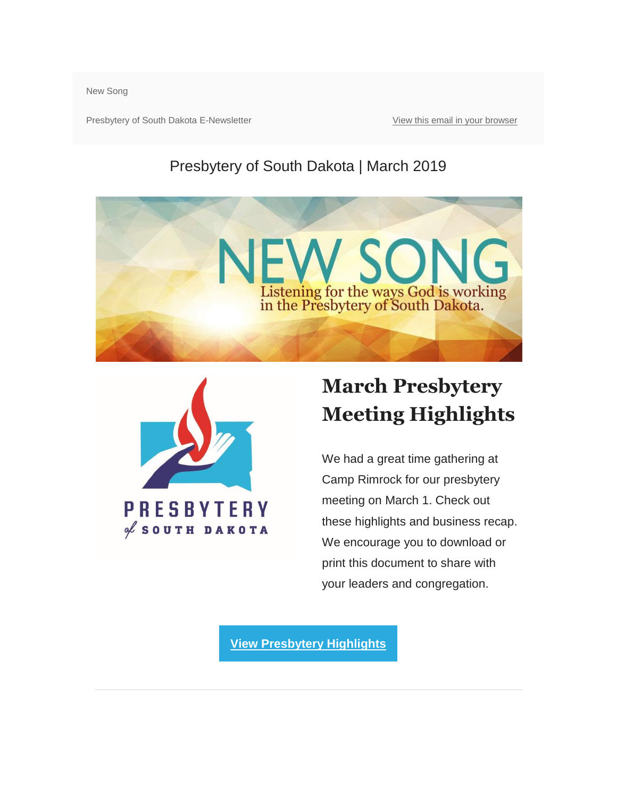New Song

Presbytery of South Dakota E-Newsletter [View this email in your browser](https://mailchi.mp/a3d57c7fe1e1/new-song-march-2019?e=4a50320381)

#### Presbytery of South Dakota | March 2019





### **March Presbytery Meeting Highlights**

We had a great time gathering at Camp Rimrock for our presbytery meeting on March 1. Check out these highlights and business recap. We encourage you to download or print this document to share with your leaders and congregation.

**[View Presbytery Highlights](http://presbyteryofsd.org/files/4715/5308/7735/POSD_Meeting_Highlights_March_2019_FINAL.pdf)**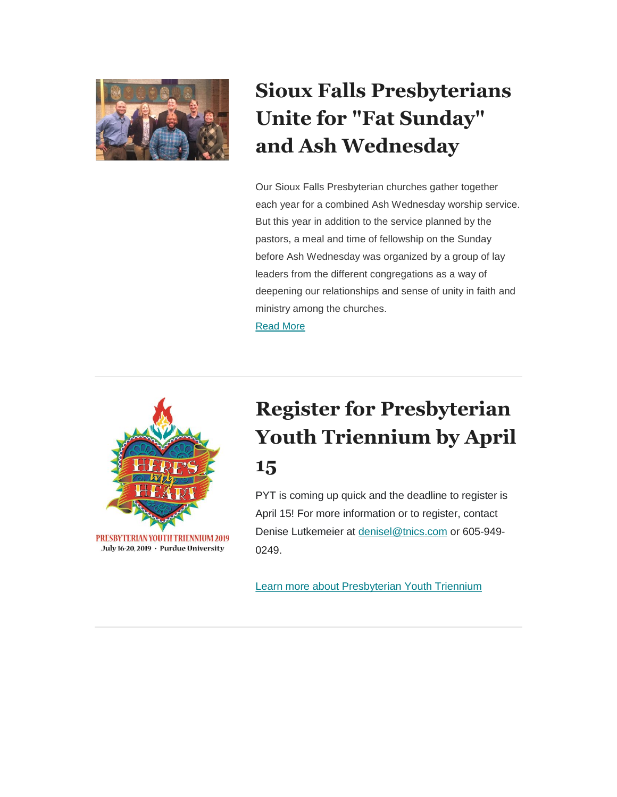

## **Sioux Falls Presbyterians Unite for "Fat Sunday" and Ash Wednesday**

Our Sioux Falls Presbyterian churches gather together each year for a combined Ash Wednesday worship service. But this year in addition to the service planned by the pastors, a meal and time of fellowship on the Sunday before Ash Wednesday was organized by a group of lay leaders from the different congregations as a way of deepening our relationships and sense of unity in faith and ministry among the churches. [Read More](http://presbyteryofsd.org/index.php?cID=322)



### **Register for Presbyterian Youth Triennium by April 15**

PYT is coming up quick and the deadline to register is April 15! For more information or to register, contact Denise Lutkemeier at [denisel@tnics.com](mailto:denisel@tnics.com) or 605-949- 0249.

[Learn more about Presbyterian Youth Triennium](https://presbyterianyouthtriennium.org/)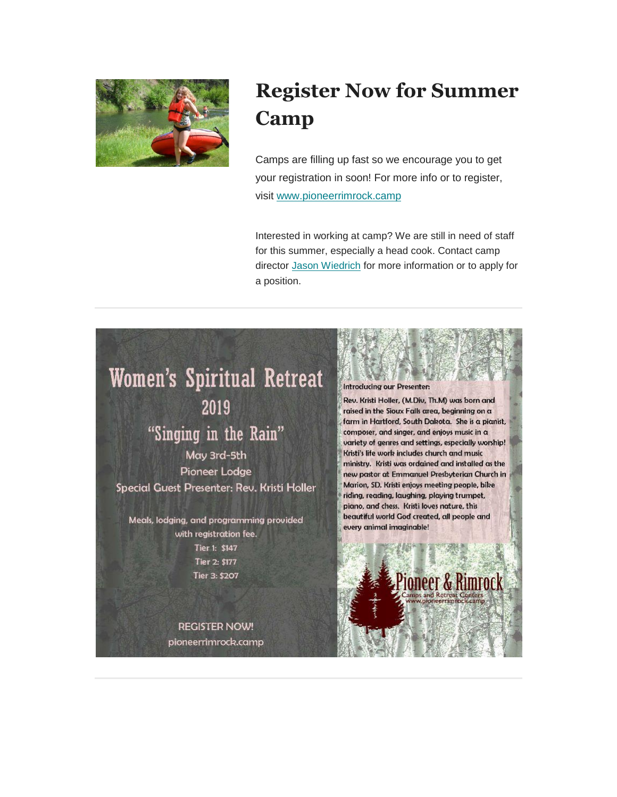

### **Register Now for Summer Camp**

Camps are filling up fast so we encourage you to get your registration in soon! For more info or to register, visit [www.pioneerrimrock.camp](http://www.pioneerrimrock.camp/index.php/camps/)

Interested in working at camp? We are still in need of staff for this summer, especially a head cook. Contact camp director [Jason Wiedrich](mailto:director@pioneerrimrock.camp) for more information or to apply for a position.

# **Women's Spiritual Retreat**

2019

#### "Singing in the Rain"

May 3rd-5th Pioneer Lodge Special Guest Presenter: Rev. Kristi Holler

Meals, lodging, and programming provided with registration fee. Tier 1: \$147 Tier 2: \$177 Tier 3: \$207

> **REGISTER NOW!** pioneerrimrock.camp

#### Introducing our Presenter:

Rev. Kristi Holler, (M.Div, Th.M) was born and raised in the Sioux Falls area, beginning on a farm in Hartford, South Dakota. She is a pianist, composer, and singer, and enjoys music in a variety of genres and settings, especially worship! Kristi's life work includes church and music ministry. Kristi was ordained and installed as the new pastor at Emmanuel Presbyterian Church in Marion, SD. Kristi enjoys meeting people, bike riding, reading, laughing, playing trumpet, piano, and chess. Kristi loves nature, this beautiful world God created, all people and every animal imaginable!

ioneer & Rimrocl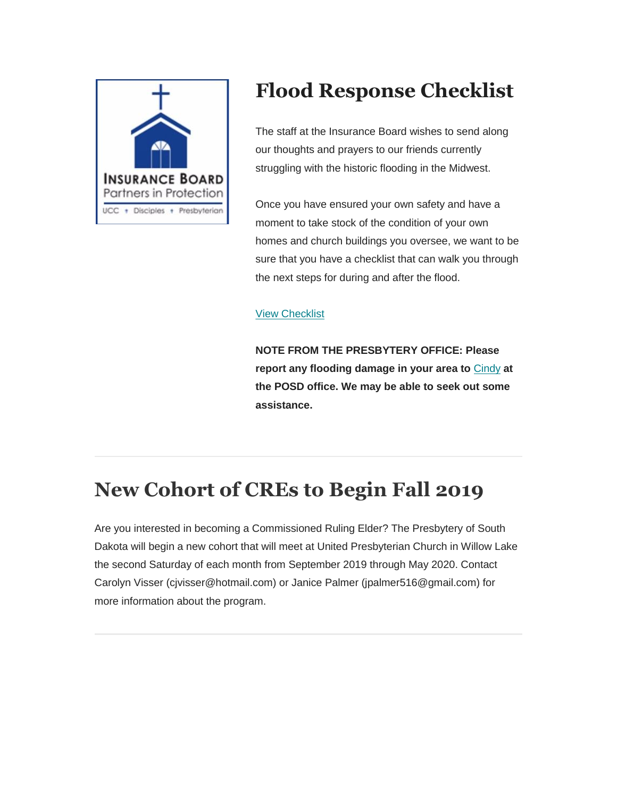

#### **Flood Response Checklist**

The staff at the Insurance Board wishes to send along our thoughts and prayers to our friends currently struggling with the historic flooding in the Midwest.

Once you have ensured your own safety and have a moment to take stock of the condition of your own homes and church buildings you oversee, we want to be sure that you have a checklist that can walk you through the next steps for during and after the flood.

#### [View Checklist](http://presbyteryofsd.org/files/3315/5308/8771/Insurance_Board_Flood_Response_Checklist_.pdf)

**NOTE FROM THE PRESBYTERY OFFICE: Please report any flooding damage in your area to** [Cindy](mailto:cindy@presbyteryofsd.org) **at the POSD office. We may be able to seek out some assistance.**

#### **New Cohort of CREs to Begin Fall 2019**

Are you interested in becoming a Commissioned Ruling Elder? The Presbytery of South Dakota will begin a new cohort that will meet at United Presbyterian Church in Willow Lake the second Saturday of each month from September 2019 through May 2020. Contact Carolyn Visser (cjvisser@hotmail.com) or Janice Palmer (jpalmer516@gmail.com) for more information about the program.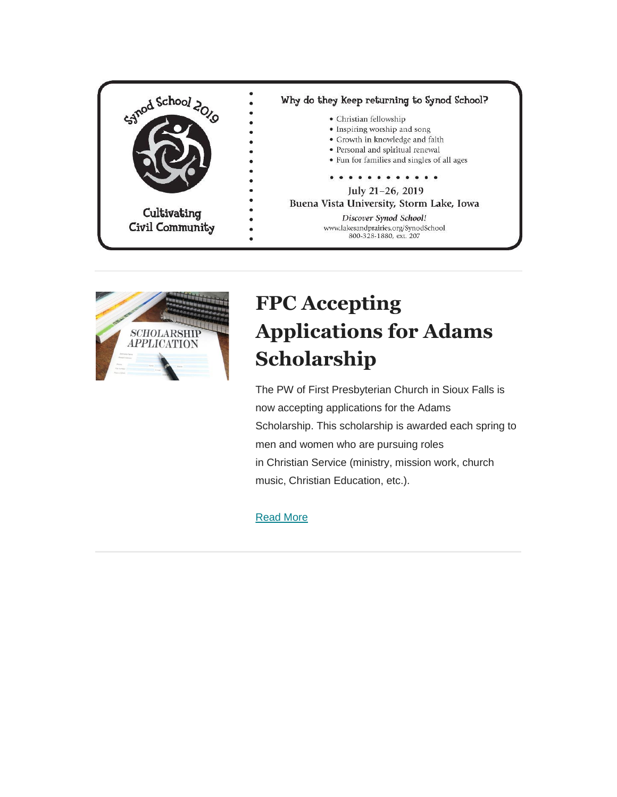



### **FPC Accepting Applications for Adams Scholarship**

The PW of First Presbyterian Church in Sioux Falls is now accepting applications for the Adams Scholarship. This scholarship is awarded each spring to men and women who are pursuing roles in Christian Service (ministry, mission work, church music, Christian Education, etc.).

#### [Read More](http://presbyteryofsd.org/index.php?cID=306)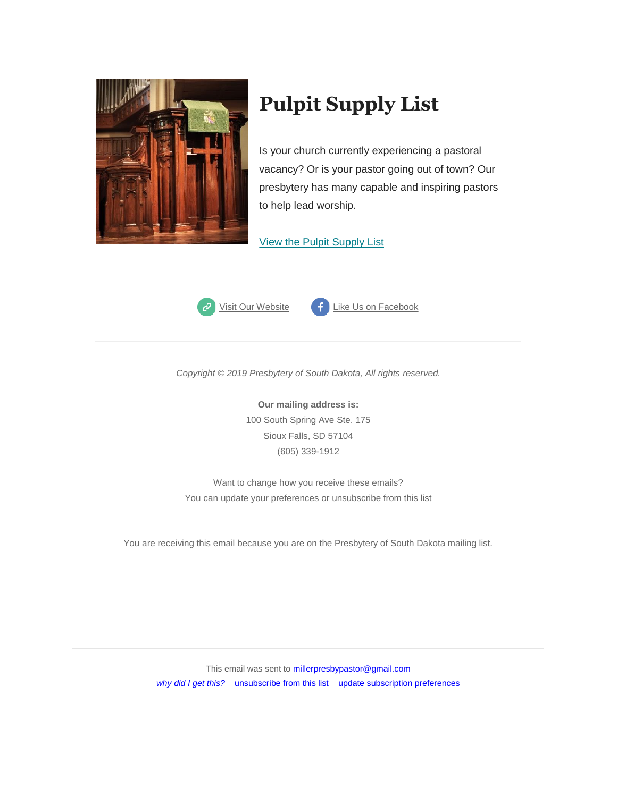

#### **Pulpit Supply List**

Is your church currently experiencing a pastoral vacancy? Or is your pastor going out of town? Our presbytery has many capable and inspiring pastors to help lead worship.

#### [View the Pulpit Supply List](http://presbyteryofsd.org/files/4915/4507/5121/Pulpit_Supply_December_2018.pdf)



*Copyright © 2019 Presbytery of South Dakota, All rights reserved.*

**Our mailing address is:** 100 South Spring Ave Ste. 175 Sioux Falls, SD 57104 (605) 339-1912

Want to change how you receive these emails? You can [update your preferences](https://presbyteryofsd.us13.list-manage.com/profile?u=94b15ba4a8214849fe10060e8&id=41eeebcecf&e=4a50320381) o[r unsubscribe from this list](https://presbyteryofsd.us13.list-manage.com/unsubscribe?u=94b15ba4a8214849fe10060e8&id=41eeebcecf&e=4a50320381&c=477a6c09c3)

You are receiving this email because you are on the Presbytery of South Dakota mailing list.

This email was sent to **millerpresbypastor@gmail.com** [why did I get this?](https://presbyteryofsd.us13.list-manage.com/about?u=94b15ba4a8214849fe10060e8&id=41eeebcecf&e=4a50320381&c=477a6c09c3) [unsubscribe from this list](https://presbyteryofsd.us13.list-manage.com/unsubscribe?u=94b15ba4a8214849fe10060e8&id=41eeebcecf&e=4a50320381&c=477a6c09c3) [update subscription preferences](https://presbyteryofsd.us13.list-manage.com/profile?u=94b15ba4a8214849fe10060e8&id=41eeebcecf&e=4a50320381)